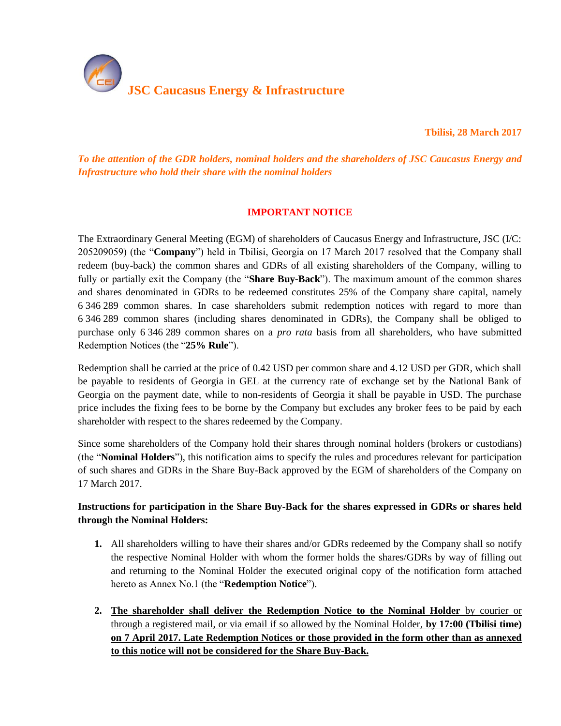

**Tbilisi, 28 March 2017** 

*To the attention of the GDR holders, nominal holders and the shareholders of JSC Caucasus Energy and Infrastructure who hold their share with the nominal holders*

### **IMPORTANT NOTICE**

The Extraordinary General Meeting (EGM) of shareholders of Caucasus Energy and Infrastructure, JSC (I/C: 205209059) (the "**Company**") held in Tbilisi, Georgia on 17 March 2017 resolved that the Company shall redeem (buy-back) the common shares and GDRs of all existing shareholders of the Company, willing to fully or partially exit the Company (the "**Share Buy-Back**"). The maximum amount of the common shares and shares denominated in GDRs to be redeemed constitutes 25% of the Company share capital, namely 6 346 289 common shares. In case shareholders submit redemption notices with regard to more than 6 346 289 common shares (including shares denominated in GDRs), the Company shall be obliged to purchase only 6 346 289 common shares on a *pro rata* basis from all shareholders, who have submitted Redemption Notices (the "**25% Rule**").

Redemption shall be carried at the price of 0.42 USD per common share and 4.12 USD per GDR, which shall be payable to residents of Georgia in GEL at the currency rate of exchange set by the National Bank of Georgia on the payment date, while to non-residents of Georgia it shall be payable in USD. The purchase price includes the fixing fees to be borne by the Company but excludes any broker fees to be paid by each shareholder with respect to the shares redeemed by the Company.

Since some shareholders of the Company hold their shares through nominal holders (brokers or custodians) (the "**Nominal Holders**"), this notification aims to specify the rules and procedures relevant for participation of such shares and GDRs in the Share Buy-Back approved by the EGM of shareholders of the Company on 17 March 2017.

# **Instructions for participation in the Share Buy-Back for the shares expressed in GDRs or shares held through the Nominal Holders:**

- **1.** All shareholders willing to have their shares and/or GDRs redeemed by the Company shall so notify the respective Nominal Holder with whom the former holds the shares/GDRs by way of filling out and returning to the Nominal Holder the executed original copy of the notification form attached hereto as Annex No.1 (the "**Redemption Notice**").
- **2. The shareholder shall deliver the Redemption Notice to the Nominal Holder** by courier or through a registered mail, or via email if so allowed by the Nominal Holder, **by 17:00 (Tbilisi time) on 7 April 2017. Late Redemption Notices or those provided in the form other than as annexed to this notice will not be considered for the Share Buy-Back.**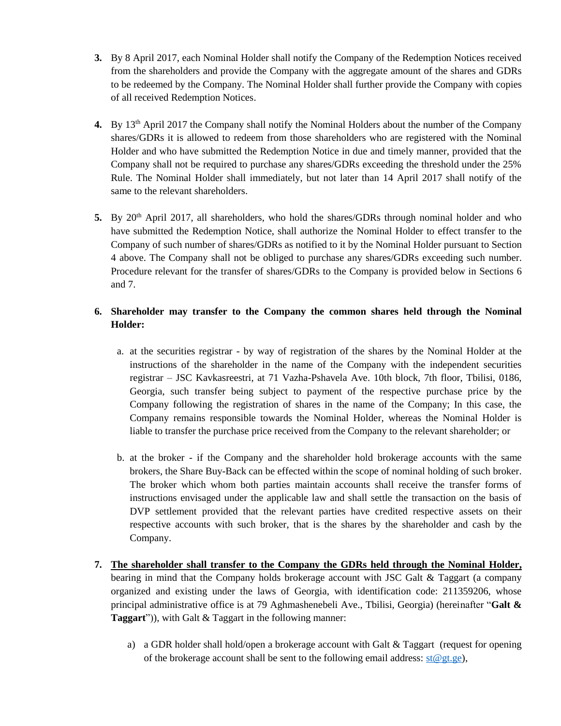- **3.** By 8 April 2017, each Nominal Holder shall notify the Company of the Redemption Notices received from the shareholders and provide the Company with the aggregate amount of the shares and GDRs to be redeemed by the Company. The Nominal Holder shall further provide the Company with copies of all received Redemption Notices.
- <span id="page-1-0"></span>4. By 13<sup>th</sup> April 2017 the Company shall notify the Nominal Holders about the number of the Company shares/GDRs it is allowed to redeem from those shareholders who are registered with the Nominal Holder and who have submitted the Redemption Notice in due and timely manner, provided that the Company shall not be required to purchase any shares/GDRs exceeding the threshold under the 25% Rule. The Nominal Holder shall immediately, but not later than 14 April 2017 shall notify of the same to the relevant shareholders.
- 5. By 20<sup>th</sup> April 2017, all shareholders, who hold the shares/GDRs through nominal holder and who have submitted the Redemption Notice, shall authorize the Nominal Holder to effect transfer to the Company of such number of shares/GDRs as notified to it by the Nominal Holder pursuant to Section [4](#page-1-0) above. The Company shall not be obliged to purchase any shares/GDRs exceeding such number. Procedure relevant for the transfer of shares/GDRs to the Company is provided below in Sections [6](#page-1-1) an[d 7.](#page-1-2)

# <span id="page-1-1"></span>**6. Shareholder may transfer to the Company the common shares held through the Nominal Holder:**

- a. at the securities registrar by way of registration of the shares by the Nominal Holder at the instructions of the shareholder in the name of the Company with the independent securities registrar – JSC Kavkasreestri, at 71 Vazha-Pshavela Ave. 10th block, 7th floor, Tbilisi, 0186, Georgia, such transfer being subject to payment of the respective purchase price by the Company following the registration of shares in the name of the Company; In this case, the Company remains responsible towards the Nominal Holder, whereas the Nominal Holder is liable to transfer the purchase price received from the Company to the relevant shareholder; or
- b. at the broker if the Company and the shareholder hold brokerage accounts with the same brokers, the Share Buy-Back can be effected within the scope of nominal holding of such broker. The broker which whom both parties maintain accounts shall receive the transfer forms of instructions envisaged under the applicable law and shall settle the transaction on the basis of DVP settlement provided that the relevant parties have credited respective assets on their respective accounts with such broker, that is the shares by the shareholder and cash by the Company.
- <span id="page-1-2"></span>**7. The shareholder shall transfer to the Company the GDRs held through the Nominal Holder,** bearing in mind that the Company holds brokerage account with JSC Galt & Taggart (a company organized and existing under the laws of Georgia, with identification code: 211359206, whose principal administrative office is at 79 Aghmashenebeli Ave., Tbilisi, Georgia) (hereinafter "**Galt & Taggart**")), with Galt & Taggart in the following manner:
	- a) a GDR holder shall hold/open a brokerage account with Galt  $&$  Taggart (request for opening of the brokerage account shall be sent to the following email address:  $\text{st@gt.ge}$ ,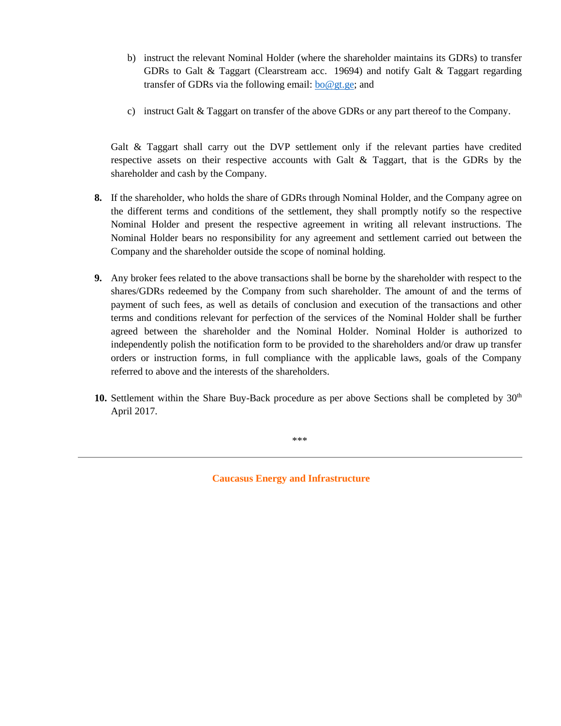- b) instruct the relevant Nominal Holder (where the shareholder maintains its GDRs) to transfer GDRs to Galt & Taggart (Clearstream acc. 19694) and notify Galt & Taggart regarding transfer of GDRs via the following email:  $\frac{1}{6}$   $\frac{1}{6}$   $\frac{1}{6}$   $\frac{1}{6}$   $\frac{1}{6}$   $\frac{1}{6}$   $\frac{1}{6}$   $\frac{1}{6}$   $\frac{1}{6}$   $\frac{1}{6}$   $\frac{1}{6}$   $\frac{1}{6}$   $\frac{1}{6}$   $\frac{1}{6}$   $\frac{1}{6}$   $\frac{1}{6}$   $\frac{1}{6}$   $\frac{1}{6}$
- c) instruct Galt & Taggart on transfer of the above GDRs or any part thereof to the Company.

Galt & Taggart shall carry out the DVP settlement only if the relevant parties have credited respective assets on their respective accounts with Galt & Taggart, that is the GDRs by the shareholder and cash by the Company.

- **8.** If the shareholder, who holds the share of GDRs through Nominal Holder, and the Company agree on the different terms and conditions of the settlement, they shall promptly notify so the respective Nominal Holder and present the respective agreement in writing all relevant instructions. The Nominal Holder bears no responsibility for any agreement and settlement carried out between the Company and the shareholder outside the scope of nominal holding.
- **9.** Any broker fees related to the above transactions shall be borne by the shareholder with respect to the shares/GDRs redeemed by the Company from such shareholder. The amount of and the terms of payment of such fees, as well as details of conclusion and execution of the transactions and other terms and conditions relevant for perfection of the services of the Nominal Holder shall be further agreed between the shareholder and the Nominal Holder. Nominal Holder is authorized to independently polish the notification form to be provided to the shareholders and/or draw up transfer orders or instruction forms, in full compliance with the applicable laws, goals of the Company referred to above and the interests of the shareholders.
- 10. Settlement within the Share Buy-Back procedure as per above Sections shall be completed by 30<sup>th</sup> April 2017.

\*\*\*

**Caucasus Energy and Infrastructure**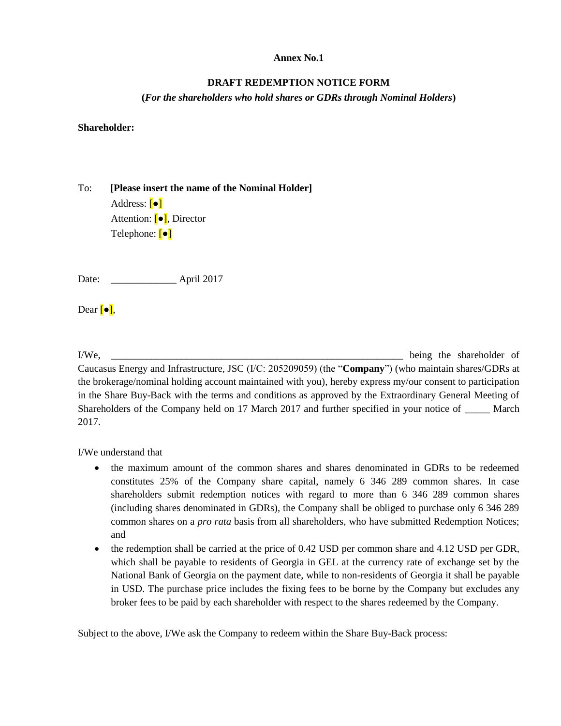#### **Annex No.1**

#### **DRAFT REDEMPTION NOTICE FORM**

**(***For the shareholders who hold shares or GDRs through Nominal Holders***)**

**Shareholder:**

To: **[Please insert the name of the Nominal Holder]** Address: [●] Attention: [●], Director Telephone: [•]

Date: April 2017

Dear  $\lceil \bullet \rceil$ ,

I/We, the shareholder of the shareholder of the shareholder of the shareholder of the shareholder of the shareholder of the shareholder of the shareholder of the shareholder of the shareholder of the shareholder of the sha Caucasus Energy and Infrastructure, JSC (I/C: 205209059) (the "**Company**") (who maintain shares/GDRs at the brokerage/nominal holding account maintained with you), hereby express my/our consent to participation in the Share Buy-Back with the terms and conditions as approved by the Extraordinary General Meeting of Shareholders of the Company held on 17 March 2017 and further specified in your notice of \_\_\_\_\_ March 2017.

I/We understand that

- the maximum amount of the common shares and shares denominated in GDRs to be redeemed constitutes 25% of the Company share capital, namely 6 346 289 common shares. In case shareholders submit redemption notices with regard to more than 6 346 289 common shares (including shares denominated in GDRs), the Company shall be obliged to purchase only 6 346 289 common shares on a *pro rata* basis from all shareholders, who have submitted Redemption Notices; and
- the redemption shall be carried at the price of 0.42 USD per common share and 4.12 USD per GDR, which shall be payable to residents of Georgia in GEL at the currency rate of exchange set by the National Bank of Georgia on the payment date, while to non-residents of Georgia it shall be payable in USD. The purchase price includes the fixing fees to be borne by the Company but excludes any broker fees to be paid by each shareholder with respect to the shares redeemed by the Company.

Subject to the above, I/We ask the Company to redeem within the Share Buy-Back process: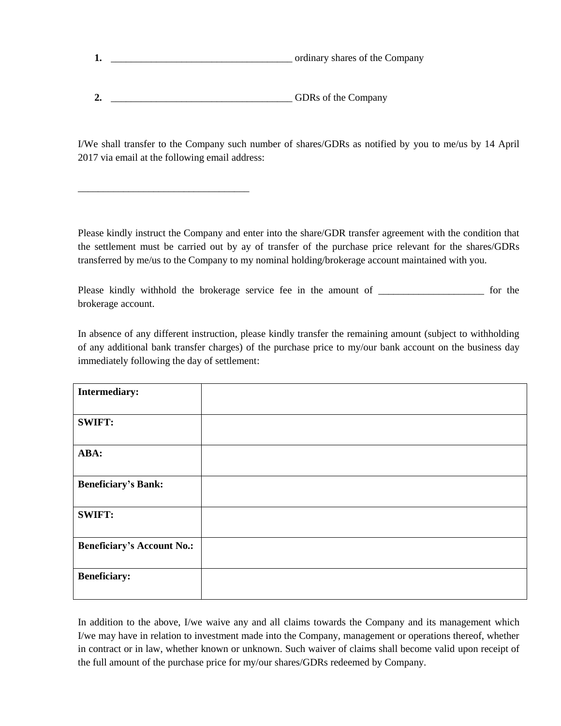| ordinary shares of the Company |
|--------------------------------|
|                                |
|                                |

2. **2. and**  $\overline{OBRs}$  of the Company

\_\_\_\_\_\_\_\_\_\_\_\_\_\_\_\_\_\_\_\_\_\_\_\_\_\_\_\_\_\_\_\_\_\_

I/We shall transfer to the Company such number of shares/GDRs as notified by you to me/us by 14 April 2017 via email at the following email address:

Please kindly instruct the Company and enter into the share/GDR transfer agreement with the condition that the settlement must be carried out by ay of transfer of the purchase price relevant for the shares/GDRs transferred by me/us to the Company to my nominal holding/brokerage account maintained with you.

Please kindly withhold the brokerage service fee in the amount of \_\_\_\_\_\_\_\_\_\_\_\_\_\_\_\_\_\_\_\_\_ for the brokerage account.

In absence of any different instruction, please kindly transfer the remaining amount (subject to withholding of any additional bank transfer charges) of the purchase price to my/our bank account on the business day immediately following the day of settlement:

| <b>Intermediary:</b>              |  |
|-----------------------------------|--|
| <b>SWIFT:</b>                     |  |
| ABA:                              |  |
| <b>Beneficiary's Bank:</b>        |  |
| <b>SWIFT:</b>                     |  |
| <b>Beneficiary's Account No.:</b> |  |
| <b>Beneficiary:</b>               |  |

In addition to the above, I/we waive any and all claims towards the Company and its management which I/we may have in relation to investment made into the Company, management or operations thereof, whether in contract or in law, whether known or unknown. Such waiver of claims shall become valid upon receipt of the full amount of the purchase price for my/our shares/GDRs redeemed by Company.